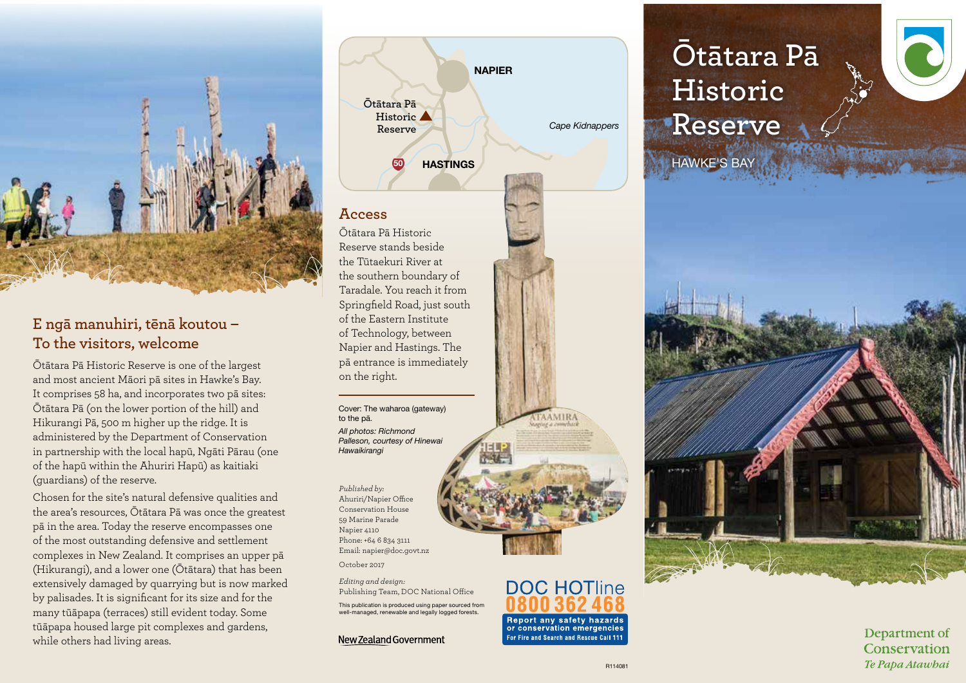

# **E ngā manuhiri, tēnā koutou – To the visitors, welcome**

Ōtātara Pā Historic Reserve is one of the largest and most ancient Māori pā sites in Hawke's Bay. It comprises 58 ha, and incorporates two pā sites: Ōtātara Pā (on the lower portion of the hill) and Hikurangi Pā, 500 m higher up the ridge. It is administered by the Department of Conservation in partnership with the local hapū, Ngāti Pārau (one of the hapū within the Ahuriri Hapū) as kaitiaki (guardians) of the reserve.

Chosen for the site's natural defensive qualities and the area's resources, Ōtātara Pā was once the greatest pā in the area. Today the reserve encompasses one of the most outstanding defensive and settlement complexes in New Zealand. It comprises an upper pā (Hikurangi), and a lower one (Ōtātara) that has been extensively damaged by quarrying but is now marked by palisades. It is significant for its size and for the many tūāpapa (terraces) still evident today. Some tūāpapa housed large pit complexes and gardens, while others had living areas.



### **Access**

Ōtātara Pā Historic Reserve stands beside the Tūtaekuri River at the southern boundary of Taradale. You reach it from Springfield Road, just south of the Eastern Institute of Technology, between Napier and Hastings. The pā entrance is immediately on the right.

Cover: The waharoa (gateway) to the pā. *All photos: Richmond Palleson, courtesy of Hinewai Hawaikirangi* 

*Published by:* Ahuriri/Napier Office Conservation House 59 Marine Parade Napier 4110 Phone: +64 6 834 3111 Email: napier@doc.govt.nz

October 2017

*Editing and design:*  Publishing Team, DOC National Office

This publication is produced using paper sourced from well-managed, renewable and legally logged forests.

New Zealand Government





# **Historic Reserve** HAWKE'S BAY



Department of Conservation Te Papa Atawbai

**AAMIRA** 

**DOC HOTline** 

Report any safety hazards or conservation emergencies

For Fire and Search and Rescue Call 111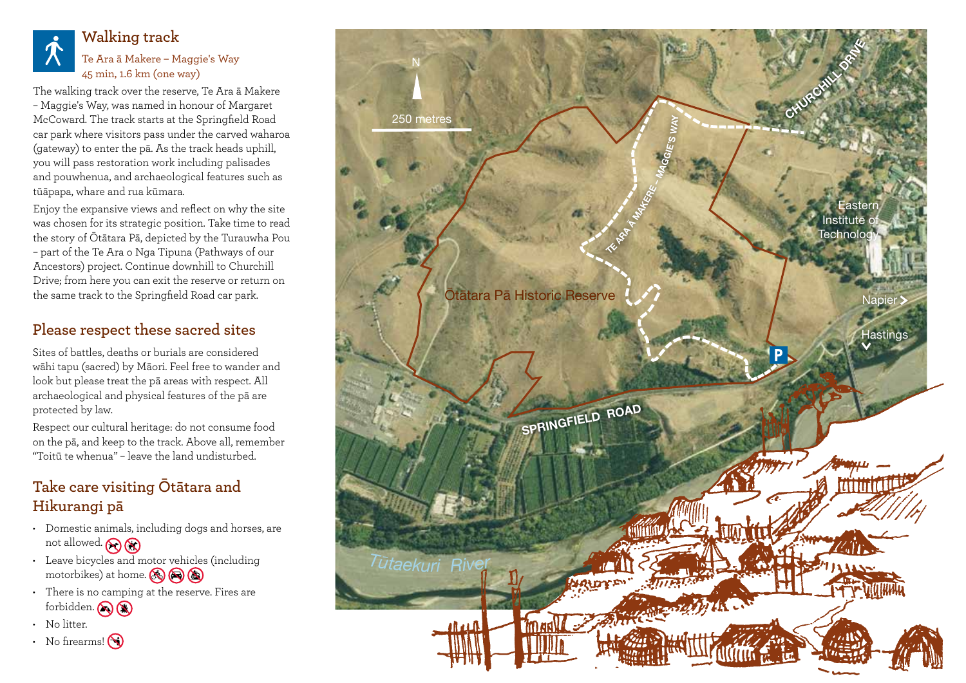

### **Walking track** Te Ara ā Makere – Maggie's Way 45 min, 1.6 km (one way)

The walking track over the reserve, Te Ara ā Makere – Maggie's Way, was named in honour of Margaret McCoward. The track starts at the Springfield Road car park where visitors pass under the carved waharoa (gateway) to enter the pā. As the track heads uphill, you will pass restoration work including palisades and pouwhenua, and archaeological features such as tūāpapa, whare and rua kūmara.

Enjoy the expansive views and reflect on why the site was chosen for its strategic position. Take time to read the story of Ōtātara Pā, depicted by the Turauwha Pou – part of the Te Ara o Nga Tipuna (Pathways of our Ancestors) project. Continue downhill to Churchill Drive; from here you can exit the reserve or return on the same track to the Springfield Road car park.

# **Please respect these sacred sites**

Sites of battles, deaths or burials are considered wāhi tapu (sacred) by Māori. Feel free to wander and look but please treat the pā areas with respect. All archaeological and physical features of the pā are protected by law.

Respect our cultural heritage: do not consume food on the pā, and keep to the track. Above all, remember "Toitū te whenua" – leave the land undisturbed.

# **Take care visiting Ōtātara and Hikurangi pā**

- Domestic animals, including dogs and horses, are not allowed. **A**
- Leave bicycles and motor vehicles (including motorbikes) at home.  $\circledast$   $\circledast$
- There is no camping at the reserve. Fires are forbidden.
- $\cdot$  No litter.
- No firearms! $\bigcirc$

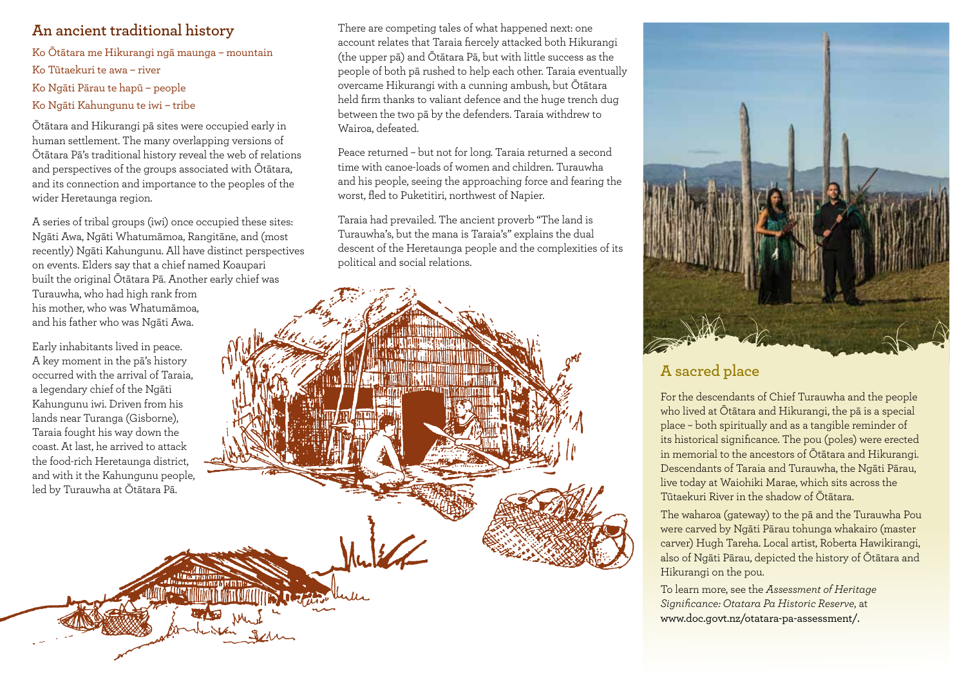# **An ancient traditional history**

Ko Ōtātara me Hikurangi ngā maunga – mountain Ko Tūtaekuri te awa – river Ko Ngāti Pārau te hapū – people Ko Ngāti Kahungunu te iwi – tribe

Ōtātara and Hikurangi pā sites were occupied early in human settlement. The many overlapping versions of Ōtātara Pā's traditional history reveal the web of relations and perspectives of the groups associated with Ōtātara, and its connection and importance to the peoples of the wider Heretaunga region.

A series of tribal groups (iwi) once occupied these sites: Ngāti Awa, Ngāti Whatumāmoa, Rangitāne, and (most recently) Ngāti Kahungunu. All have distinct perspectives on events. Elders say that a chief named Koaupari built the original Ōtātara Pā. Another early chief was Turauwha, who had high rank from his mother, who was Whatumāmoa, and his father who was Ngāti Awa.

Early inhabitants lived in peace. A key moment in the pā's history occurred with the arrival of Taraia, a legendary chief of the Ngāti Kahungunu iwi. Driven from his lands near Turanga (Gisborne), Taraia fought his way down the coast. At last, he arrived to attack the food-rich Heretaunga district, and with it the Kahungunu people, led by Turauwha at Ōtātara Pā.

There are competing tales of what happened next: one account relates that Taraia fiercely attacked both Hikurangi (the upper pā) and Ōtātara Pā, but with little success as the people of both pā rushed to help each other. Taraia eventually overcame Hikurangi with a cunning ambush, but Ōtātara held firm thanks to valiant defence and the huge trench dug between the two pā by the defenders. Taraia withdrew to Wairoa, defeated.

Peace returned – but not for long. Taraia returned a second time with canoe-loads of women and children. Turauwha and his people, seeing the approaching force and fearing the worst, fled to Puketitiri, northwest of Napier.

Taraia had prevailed. The ancient proverb "The land is Turauwha's, but the mana is Taraia's" explains the dual descent of the Heretaunga people and the complexities of its political and social relations.





# **A sacred place**

For the descendants of Chief Turauwha and the people who lived at Ōtātara and Hikurangi, the pā is a special place – both spiritually and as a tangible reminder of its historical significance. The pou (poles) were erected in memorial to the ancestors of Ōtātara and Hikurangi. Descendants of Taraia and Turauwha, the Ngāti Pārau, live today at Waiohiki Marae, which sits across the Tūtaekuri River in the shadow of Ōtātara.

The waharoa (gateway) to the pā and the Turauwha Pou were carved by Ngāti Pārau tohunga whakairo (master carver) Hugh Tareha. Local artist, Roberta Hawikirangi, also of Ngāti Pārau, depicted the history of Ōtātara and Hikurangi on the pou.

To learn more, see the *Assessment of Heritage Significance: Otatara Pa Historic Reserve*, at www.doc.govt.nz/otatara-pa-assessment/.